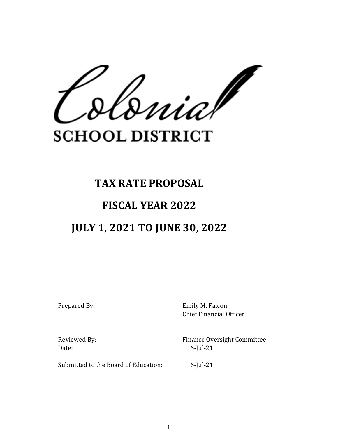$\frac{1}{2}$ 

## **SCHOOL DISTRICT**

# **TAX RATE PROPOSAL FISCAL YEAR 2022 JULY 1, 2021 TO JUNE 30, 2022**

Prepared By: Emily M. Falcon Chief Financial Officer

Date: 6-Jul-21

Reviewed By: The Pressure of Pinance Oversight Committee

Submitted to the Board of Education: 6-Jul-21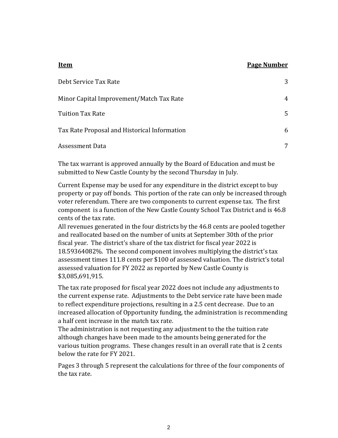#### **Item Page Number**

| Debt Service Tax Rate                        | 3 |
|----------------------------------------------|---|
| Minor Capital Improvement/Match Tax Rate     | 4 |
| Tuition Tax Rate                             | 5 |
| Tax Rate Proposal and Historical Information | 6 |
| Assessment Data                              | 7 |

The tax warrant is approved annually by the Board of Education and must be submitted to New Castle County by the second Thursday in July.

Current Expense may be used for any expenditure in the district except to buy property or pay off bonds. This portion of the rate can only be increased through voter referendum. There are two components to current expense tax. The first component is a function of the New Castle County School Tax District and is 46.8 cents of the tax rate.

All revenues generated in the four districts by the 46.8 cents are pooled together and reallocated based on the number of units at September 30th of the prior fiscal year. The district's share of the tax district for fiscal year 2022 is 18.59364082%. The second component involves multiplying the district's tax assessment times 111.8 cents per \$100 of assessed valuation. The district's total assessed valuation for FY 2022 as reported by New Castle County is \$3,085,691,915.

The tax rate proposed for fiscal year 2022 does not include any adjustments to the current expense rate. Adjustments to the Debt service rate have been made to reflect expenditure projections, resulting in a 2.5 cent decrease. Due to an increased allocation of Opportunity funding, the administration is recommending a half cent increase in the match tax rate.

The administration is not requesting any adjustment to the the tuition rate although changes have been made to the amounts being generated for the various tuition programs. These changes result in an overall rate that is 2 cents below the rate for FY 2021.

Pages 3 through 5 represent the calculations for three of the four components of the tax rate.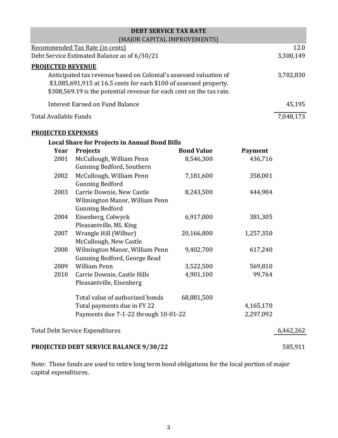| <b>DEBT SERVICE TAX RATE</b>                                         |           |
|----------------------------------------------------------------------|-----------|
| (MAJOR CAPITAL IMPROVEMENTS)                                         |           |
| Recommended Tax Rate (in cents)                                      | 12.0      |
| Debt Service Estimated Balance as of 6/30/21                         | 3,300,149 |
| <b>PROJECTED REVENUE</b>                                             |           |
| Anticipated tax revenue based on Colonial's assessed valuation of    | 3,702,830 |
| \$3,085,691,915 at 16.5 cents for each \$100 of assessed property.   |           |
| \$308,569.19 is the potential revenue for each cent on the tax rate. |           |
| <b>Interest Earned on Fund Balance</b>                               | 45,195    |
| Total Available Funds                                                | 7,048,173 |

#### **PROJECTED EXPENSES**

|      | <b>Local Share for Projects in Annual Bond Bills</b> |                   |                |           |
|------|------------------------------------------------------|-------------------|----------------|-----------|
| Year | <b>Projects</b>                                      | <b>Bond Value</b> | <b>Payment</b> |           |
| 2001 | McCullough, William Penn                             | 8,546,300         | 436,716        |           |
|      | Gunning Bedford, Southern                            |                   |                |           |
| 2002 | McCullough, William Penn                             | 7,181,600         | 358,001        |           |
|      | <b>Gunning Bedford</b>                               |                   |                |           |
| 2003 | Carrie Downie, New Castle                            | 8,243,500         | 444,984        |           |
|      | Wilmington Manor, William Penn                       |                   |                |           |
|      | <b>Gunning Bedford</b>                               |                   |                |           |
| 2004 | Eisenberg, Colwyck                                   | 6,917,000         | 381,305        |           |
|      | Pleasantville, ML King                               |                   |                |           |
| 2007 | Wrangle Hill (Wilbur)                                | 20,166,800        | 1,257,350      |           |
|      | McCullough, New Castle                               |                   |                |           |
| 2008 | Wilmington Manor, William Penn                       | 9,402,700         | 617,240        |           |
|      | Gunning Bedford, George Read                         |                   |                |           |
| 2009 | William Penn                                         | 3,522,500         | 569,810        |           |
| 2010 | Carrie Downie, Castle Hills                          | 4,901,100         | 99,764         |           |
|      | Pleasantville, Eisenberg                             |                   |                |           |
|      | Total value of authorized bonds                      | 68,881,500        |                |           |
|      | Total payments due in FY 22                          |                   | 4,165,170      |           |
|      | Payments due 7-1-22 through 10-01-22                 |                   | 2,297,092      |           |
|      | <b>Total Debt Service Expenditures</b>               |                   |                | 6,462,262 |
|      | PROJECTED DEBT SERVICE BALANCE 9/30/22               |                   |                | 585,911   |

Note: These funds are used to retire long term bond obligations for the local portion of major capital expenditures.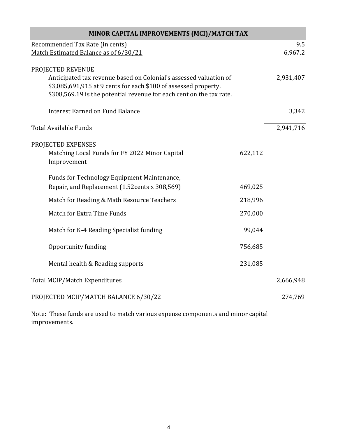| MINOR CAPITAL IMPROVEMENTS (MCI)/MATCH TAX                                                                                              |         |           |  |  |
|-----------------------------------------------------------------------------------------------------------------------------------------|---------|-----------|--|--|
| Recommended Tax Rate (in cents)                                                                                                         |         | 9.5       |  |  |
| Match Estimated Balance as of 6/30/21                                                                                                   |         | 6,967.2   |  |  |
| PROJECTED REVENUE<br>Anticipated tax revenue based on Colonial's assessed valuation of                                                  |         | 2,931,407 |  |  |
| \$3,085,691,915 at 9 cents for each \$100 of assessed property.<br>\$308,569.19 is the potential revenue for each cent on the tax rate. |         |           |  |  |
| <b>Interest Earned on Fund Balance</b>                                                                                                  |         | 3,342     |  |  |
| <b>Total Available Funds</b>                                                                                                            |         | 2,941,716 |  |  |
| PROJECTED EXPENSES<br>Matching Local Funds for FY 2022 Minor Capital<br>Improvement                                                     | 622,112 |           |  |  |
| Funds for Technology Equipment Maintenance,<br>Repair, and Replacement (1.52 cents x 308,569)                                           | 469,025 |           |  |  |
| Match for Reading & Math Resource Teachers                                                                                              | 218,996 |           |  |  |
| Match for Extra Time Funds                                                                                                              | 270,000 |           |  |  |
| Match for K-4 Reading Specialist funding                                                                                                | 99,044  |           |  |  |
| Opportunity funding                                                                                                                     | 756,685 |           |  |  |
| Mental health & Reading supports                                                                                                        | 231,085 |           |  |  |
| <b>Total MCIP/Match Expenditures</b>                                                                                                    |         | 2,666,948 |  |  |
| PROJECTED MCIP/MATCH BALANCE 6/30/22                                                                                                    |         | 274,769   |  |  |

Note: These funds are used to match various expense components and minor capital improvements.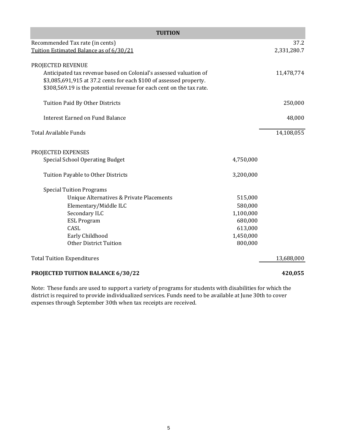| <b>TUITION</b>                                                                                                                                                                                                                       |           |             |  |  |
|--------------------------------------------------------------------------------------------------------------------------------------------------------------------------------------------------------------------------------------|-----------|-------------|--|--|
| Recommended Tax rate (in cents)                                                                                                                                                                                                      |           | 37.2        |  |  |
| Tuition Estimated Balance as of 6/30/21                                                                                                                                                                                              |           | 2,331,280.7 |  |  |
| PROJECTED REVENUE<br>Anticipated tax revenue based on Colonial's assessed valuation of<br>\$3,085,691,915 at 37.2 cents for each \$100 of assessed property.<br>\$308,569.19 is the potential revenue for each cent on the tax rate. |           | 11,478,774  |  |  |
| Tuition Paid By Other Districts                                                                                                                                                                                                      |           | 250,000     |  |  |
| <b>Interest Earned on Fund Balance</b>                                                                                                                                                                                               |           | 48,000      |  |  |
| <b>Total Available Funds</b>                                                                                                                                                                                                         |           | 14,108,055  |  |  |
| PROJECTED EXPENSES                                                                                                                                                                                                                   |           |             |  |  |
| <b>Special School Operating Budget</b>                                                                                                                                                                                               | 4,750,000 |             |  |  |
| Tuition Payable to Other Districts                                                                                                                                                                                                   | 3,200,000 |             |  |  |
| <b>Special Tuition Programs</b>                                                                                                                                                                                                      |           |             |  |  |
| Unique Alternatives & Private Placements                                                                                                                                                                                             | 515,000   |             |  |  |
| Elementary/Middle ILC                                                                                                                                                                                                                | 580,000   |             |  |  |
| Secondary ILC                                                                                                                                                                                                                        | 1,100,000 |             |  |  |
| <b>ESL Program</b>                                                                                                                                                                                                                   | 680,000   |             |  |  |
| CASL                                                                                                                                                                                                                                 | 613,000   |             |  |  |
| Early Childhood                                                                                                                                                                                                                      | 1,450,000 |             |  |  |
| <b>Other District Tuition</b>                                                                                                                                                                                                        | 800,000   |             |  |  |
| <b>Total Tuition Expenditures</b>                                                                                                                                                                                                    |           | 13,688,000  |  |  |
| PROJECTED TUITION BALANCE 6/30/22                                                                                                                                                                                                    |           | 420,055     |  |  |

Note: These funds are used to support a variety of programs for students with disabilities for which the district is required to provide individualized services. Funds need to be available at June 30th to cover expenses through September 30th when tax receipts are received.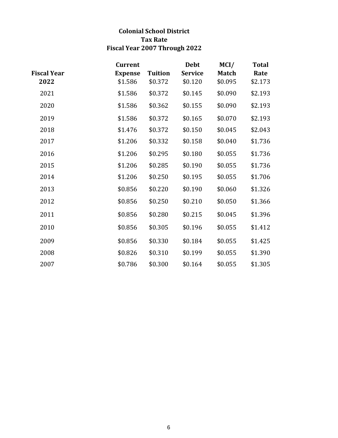### **Colonial School District Tax Rate Fiscal Year 2007 Through 2022**

|                    | <b>Current</b> |                | <b>Debt</b>    | MCI/         | <b>Total</b> |
|--------------------|----------------|----------------|----------------|--------------|--------------|
| <b>Fiscal Year</b> | <b>Expense</b> | <b>Tuition</b> | <b>Service</b> | <b>Match</b> | Rate         |
| 2022               | \$1.586        | \$0.372        | \$0.120        | \$0.095      | \$2.173      |
| 2021               | \$1.586        | \$0.372        | \$0.145        | \$0.090      | \$2.193      |
| 2020               | \$1.586        | \$0.362        | \$0.155        | \$0.090      | \$2.193      |
| 2019               | \$1.586        | \$0.372        | \$0.165        | \$0.070      | \$2.193      |
| 2018               | \$1.476        | \$0.372        | \$0.150        | \$0.045      | \$2.043      |
| 2017               | \$1.206        | \$0.332        | \$0.158        | \$0.040      | \$1.736      |
| 2016               | \$1.206        | \$0.295        | \$0.180        | \$0.055      | \$1.736      |
| 2015               | \$1.206        | \$0.285        | \$0.190        | \$0.055      | \$1.736      |
| 2014               | \$1.206        | \$0.250        | \$0.195        | \$0.055      | \$1.706      |
| 2013               | \$0.856        | \$0.220        | \$0.190        | \$0.060      | \$1.326      |
| 2012               | \$0.856        | \$0.250        | \$0.210        | \$0.050      | \$1.366      |
| 2011               | \$0.856        | \$0.280        | \$0.215        | \$0.045      | \$1.396      |
| 2010               | \$0.856        | \$0.305        | \$0.196        | \$0.055      | \$1.412      |
| 2009               | \$0.856        | \$0.330        | \$0.184        | \$0.055      | \$1.425      |
| 2008               | \$0.826        | \$0.310        | \$0.199        | \$0.055      | \$1.390      |
| 2007               | \$0.786        | \$0.300        | \$0.164        | \$0.055      | \$1.305      |